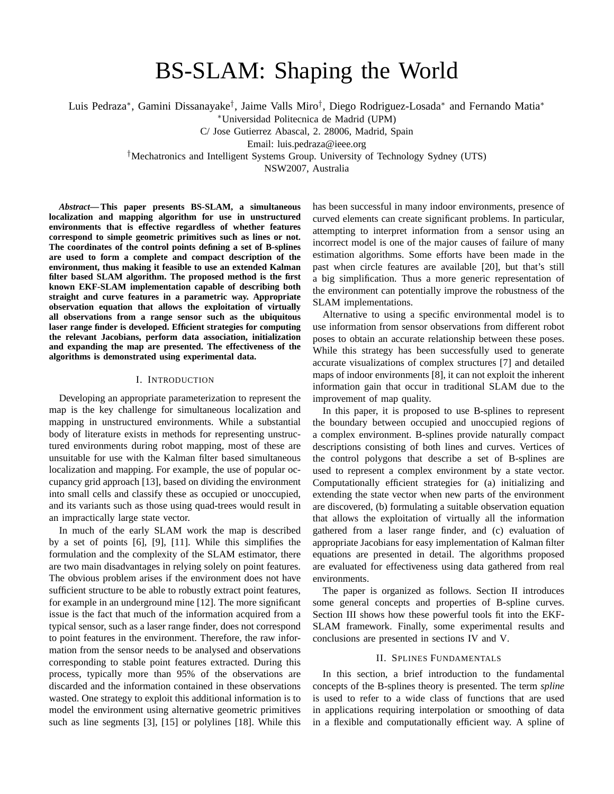# BS-SLAM: Shaping the World

Luis Pedraza<sup>∗</sup> , Gamini Dissanayake† , Jaime Valls Miro† , Diego Rodriguez-Losada<sup>∗</sup> and Fernando Matia<sup>∗</sup>

<sup>∗</sup>Universidad Politecnica de Madrid (UPM)

C/ Jose Gutierrez Abascal, 2. 28006, Madrid, Spain

Email: luis.pedraza@ieee.org

†Mechatronics and Intelligent Systems Group. University of Technology Sydney (UTS)

NSW2007, Australia

*Abstract***— This paper presents BS-SLAM, a simultaneous localization and mapping algorithm for use in unstructured environments that is effective regardless of whether features correspond to simple geometric primitives such as lines or not. The coordinates of the control points defining a set of B-splines are used to form a complete and compact description of the environment, thus making it feasible to use an extended Kalman filter based SLAM algorithm. The proposed method is the first known EKF-SLAM implementation capable of describing both straight and curve features in a parametric way. Appropriate observation equation that allows the exploitation of virtually all observations from a range sensor such as the ubiquitous laser range finder is developed. Efficient strategies for computing the relevant Jacobians, perform data association, initialization and expanding the map are presented. The effectiveness of the algorithms is demonstrated using experimental data.**

## I. INTRODUCTION

Developing an appropriate parameterization to represent the map is the key challenge for simultaneous localization and mapping in unstructured environments. While a substantial body of literature exists in methods for representing unstructured environments during robot mapping, most of these are unsuitable for use with the Kalman filter based simultaneous localization and mapping. For example, the use of popular occupancy grid approach [13], based on dividing the environment into small cells and classify these as occupied or unoccupied, and its variants such as those using quad-trees would result in an impractically large state vector.

In much of the early SLAM work the map is described by a set of points [6], [9], [11]. While this simplifies the formulation and the complexity of the SLAM estimator, there are two main disadvantages in relying solely on point features. The obvious problem arises if the environment does not have sufficient structure to be able to robustly extract point features, for example in an underground mine [12]. The more significant issue is the fact that much of the information acquired from a typical sensor, such as a laser range finder, does not correspond to point features in the environment. Therefore, the raw information from the sensor needs to be analysed and observations corresponding to stable point features extracted. During this process, typically more than 95% of the observations are discarded and the information contained in these observations wasted. One strategy to exploit this additional information is to model the environment using alternative geometric primitives such as line segments [3], [15] or polylines [18]. While this

has been successful in many indoor environments, presence of curved elements can create significant problems. In particular, attempting to interpret information from a sensor using an incorrect model is one of the major causes of failure of many estimation algorithms. Some efforts have been made in the past when circle features are available [20], but that's still a big simplification. Thus a more generic representation of the environment can potentially improve the robustness of the SLAM implementations.

Alternative to using a specific environmental model is to use information from sensor observations from different robot poses to obtain an accurate relationship between these poses. While this strategy has been successfully used to generate accurate visualizations of complex structures [7] and detailed maps of indoor environments [8], it can not exploit the inherent information gain that occur in traditional SLAM due to the improvement of map quality.

In this paper, it is proposed to use B-splines to represent the boundary between occupied and unoccupied regions of a complex environment. B-splines provide naturally compact descriptions consisting of both lines and curves. Vertices of the control polygons that describe a set of B-splines are used to represent a complex environment by a state vector. Computationally efficient strategies for (a) initializing and extending the state vector when new parts of the environment are discovered, (b) formulating a suitable observation equation that allows the exploitation of virtually all the information gathered from a laser range finder, and (c) evaluation of appropriate Jacobians for easy implementation of Kalman filter equations are presented in detail. The algorithms proposed are evaluated for effectiveness using data gathered from real environments.

The paper is organized as follows. Section II introduces some general concepts and properties of B-spline curves. Section III shows how these powerful tools fit into the EKF-SLAM framework. Finally, some experimental results and conclusions are presented in sections IV and V.

## II. SPLINES FUNDAMENTALS

In this section, a brief introduction to the fundamental concepts of the B-splines theory is presented. The term *spline* is used to refer to a wide class of functions that are used in applications requiring interpolation or smoothing of data in a flexible and computationally efficient way. A spline of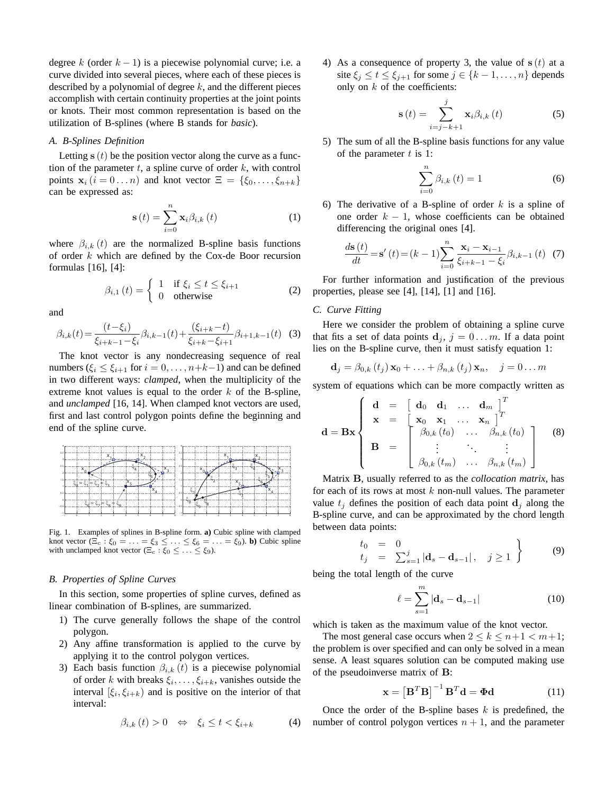degree k (order  $k - 1$ ) is a piecewise polynomial curve; i.e. a curve divided into several pieces, where each of these pieces is described by a polynomial of degree  $k$ , and the different pieces accomplish with certain continuity properties at the joint points or knots. Their most common representation is based on the utilization of B-splines (where B stands for *basic*).

## *A. B-Splines Definition*

Letting  $s(t)$  be the position vector along the curve as a function of the parameter  $t$ , a spline curve of order  $k$ , with control points  $\mathbf{x}_i$   $(i = 0 \dots n)$  and knot vector  $\Xi = \{\xi_0, \dots, \xi_{n+k}\}\$ can be expressed as:

$$
\mathbf{s}\left(t\right) = \sum_{i=0}^{n} \mathbf{x}_{i} \beta_{i,k}\left(t\right) \tag{1}
$$

where  $\beta_{i,k}(t)$  are the normalized B-spline basis functions of order  $k$  which are defined by the Cox-de Boor recursion formulas [16], [4]:

$$
\beta_{i,1}(t) = \begin{cases} 1 & \text{if } \xi_i \le t \le \xi_{i+1} \\ 0 & \text{otherwise} \end{cases}
$$
 (2)

and

$$
\beta_{i,k}(t) = \frac{(t-\xi_i)}{\xi_{i+k-1} - \xi_i} \beta_{i,k-1}(t) + \frac{(\xi_{i+k} - t)}{\xi_{i+k} - \xi_{i+1}} \beta_{i+1,k-1}(t) \tag{3}
$$

The knot vector is any nondecreasing sequence of real numbers ( $\xi_i \leq \xi_{i+1}$  for  $i = 0, \ldots, n+k-1$ ) and can be defined in two different ways: *clamped*, when the multiplicity of the extreme knot values is equal to the order  $k$  of the B-spline, and *unclamped* [16, 14]. When clamped knot vectors are used, first and last control polygon points define the beginning and end of the spline curve.



Fig. 1. Examples of splines in B-spline form. **a)** Cubic spline with clamped knot vector  $(\Xi_c : \xi_0 = \ldots = \xi_3 \leq \ldots \leq \xi_6 = \ldots = \xi_9)$ . **b**) Cubic spline with unclamped knot vector  $(\Xi_c : \xi_0 \leq \ldots \leq \xi_9)$ .

# *B. Properties of Spline Curves*

In this section, some properties of spline curves, defined as linear combination of B-splines, are summarized.

- 1) The curve generally follows the shape of the control polygon.
- 2) Any affine transformation is applied to the curve by applying it to the control polygon vertices.
- 3) Each basis function  $\beta_{i,k}(t)$  is a piecewise polynomial of order k with breaks  $\xi_i, \ldots, \xi_{i+k}$ , vanishes outside the interval  $[\xi_i, \xi_{i+k})$  and is positive on the interior of that interval:

$$
\beta_{i,k}(t) > 0 \quad \Leftrightarrow \quad \xi_i \le t < \xi_{i+k} \tag{4}
$$

4) As a consequence of property 3, the value of  $s(t)$  at a site  $\xi_j \le t \le \xi_{j+1}$  for some  $j \in \{k-1, \ldots, n\}$  depends only on  $k$  of the coefficients:

$$
\mathbf{s}(t) = \sum_{i=j-k+1}^{j} \mathbf{x}_{i} \beta_{i,k}(t)
$$
 (5)

5) The sum of all the B-spline basis functions for any value of the parameter  $t$  is 1:

$$
\sum_{i=0}^{n} \beta_{i,k}(t) = 1
$$
\n(6)

6) The derivative of a B-spline of order  $k$  is a spline of one order  $k - 1$ , whose coefficients can be obtained differencing the original ones [4].

$$
\frac{d\mathbf{s}(t)}{dt} = \mathbf{s}'(t) = (k-1)\sum_{i=0}^{n} \frac{\mathbf{x}_i - \mathbf{x}_{i-1}}{\xi_{i+k-1} - \xi_i} \beta_{i,k-1}(t) \tag{7}
$$

For further information and justification of the previous properties, please see [4], [14], [1] and [16].

# *C. Curve Fitting*

Here we consider the problem of obtaining a spline curve that fits a set of data points  $\mathbf{d}_i$ ,  $j = 0 \dots m$ . If a data point lies on the B-spline curve, then it must satisfy equation 1:

$$
\mathbf{d}_{j} = \beta_{0,k} (t_{j}) \mathbf{x}_{0} + \ldots + \beta_{n,k} (t_{j}) \mathbf{x}_{n}, \quad j = 0 \ldots m
$$

system of equations which can be more compactly written as

$$
\mathbf{d} = \mathbf{B} \mathbf{x} \begin{cases} \mathbf{d} = \begin{bmatrix} \mathbf{d}_0 & \mathbf{d}_1 & \dots & \mathbf{d}_m \end{bmatrix}^T \\ \mathbf{x} = \begin{bmatrix} \mathbf{x}_0 & \mathbf{x}_1 & \dots & \mathbf{x}_n \end{bmatrix}^T \\ \mathbf{B} = \begin{bmatrix} \beta_{0,k}(t_0) & \dots & \beta_{n,k}(t_0) \\ \vdots & \ddots & \vdots \\ \beta_{0,k}(t_m) & \dots & \beta_{n,k}(t_m) \end{bmatrix} \end{cases} \tag{8}
$$

Matrix B, usually referred to as the *collocation matrix*, has for each of its rows at most  $k$  non-null values. The parameter value  $t_i$  defines the position of each data point  $\mathbf{d}_i$  along the B-spline curve, and can be approximated by the chord length between data points:

$$
\begin{array}{rcl}\nt_0 & = & 0 \\
t_j & = & \sum_{s=1}^j |\mathbf{d}_s - \mathbf{d}_{s-1}|, \quad j \ge 1\n\end{array} \bigg\} \tag{9}
$$

being the total length of the curve

$$
\ell = \sum_{s=1}^{m} |\mathbf{d}_s - \mathbf{d}_{s-1}|
$$
 (10)

which is taken as the maximum value of the knot vector.

The most general case occurs when  $2 \le k \le n+1 < m+1$ ; the problem is over specified and can only be solved in a mean sense. A least squares solution can be computed making use of the pseudoinverse matrix of B:

$$
\mathbf{x} = \left[\mathbf{B}^T \mathbf{B}\right]^{-1} \mathbf{B}^T \mathbf{d} = \mathbf{\Phi} \mathbf{d} \tag{11}
$$

Once the order of the B-spline bases  $k$  is predefined, the number of control polygon vertices  $n + 1$ , and the parameter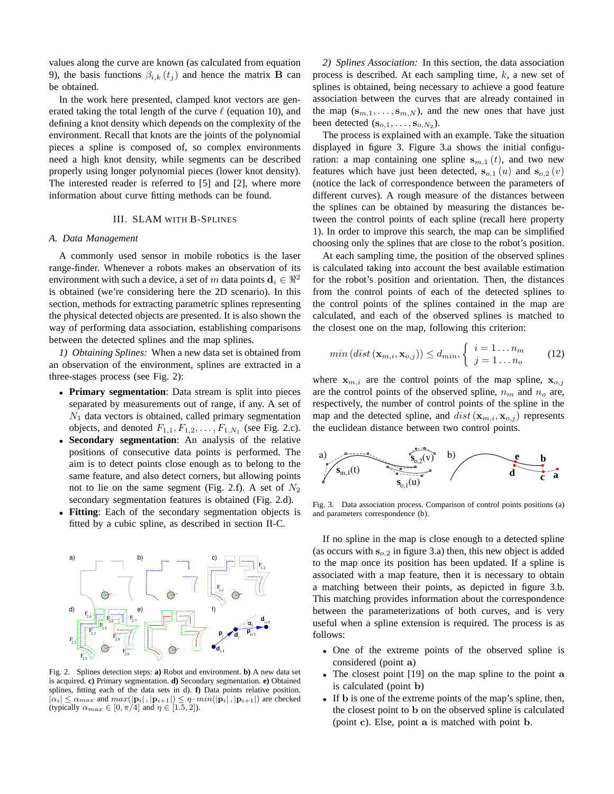values along the curve are known (as calculated from equation 9), the basis functions  $\beta_{i,k}$  ( $t_j$ ) and hence the matrix **B** can be obtained.

In the work here presented, clamped knot vectors are generated taking the total length of the curve  $\ell$  (equation 10), and defining a knot density which depends on the complexity of the environment. Recall that knots are the joints of the polynomial pieces a spline is composed of, so complex environments need a high knot density, while segments can be described properly using longer polynomial pieces (lower knot density). The interested reader is referred to [5] and [2], where more information about curve fitting methods can be found.

## III. SLAM WITH B-SPLINES

## *A. Data Management*

A commonly used sensor in mobile robotics is the laser range-finder. Whenever a robots makes an observation of its environment with such a device, a set of m data points  $d_i \in \mathbb{R}^2$ is obtained (we're considering here the 2D scenario). In this section, methods for extracting parametric splines representing the physical detected objects are presented. It is also shown the way of performing data association, establishing comparisons between the detected splines and the map splines.

*1) Obtaining Splines:* When a new data set is obtained from an observation of the environment, splines are extracted in a three-stages process (see Fig. 2):

- **Primary segmentation**: Data stream is split into pieces separated by measurements out of range, if any. A set of  $N_1$  data vectors is obtained, called primary segmentation objects, and denoted  $F_{1,1}, F_{1,2}, \ldots, F_{1,N_1}$  (see Fig. 2.c).
- **Secondary segmentation**: An analysis of the relative positions of consecutive data points is performed. The aim is to detect points close enough as to belong to the same feature, and also detect corners, but allowing points not to lie on the same segment (Fig. 2.f). A set of  $N_2$ secondary segmentation features is obtained (Fig. 2.d).
- **Fitting**: Each of the secondary segmentation objects is fitted by a cubic spline, as described in section II-C.



Fig. 2. Splines detection steps: **a)** Robot and environment. **b)** A new data set is acquired. **c)** Primary segmentation. **d)** Secondary segmentation. **e)** Obtained splines, fitting each of the data sets in d). **f)** Data points relative position.  $|\alpha_i| \leq \alpha_{max}$  and  $max(|\mathbf{p}_i|, |\mathbf{p}_{i+1}|) \leq \eta \cdot min(|\mathbf{p}_i|, |\mathbf{p}_{i+1}|)$  are checked (typically  $\alpha_{max} \in [0, \pi/4]$  and  $\eta \in [1.5, 2]$ ).

*2) Splines Association:* In this section, the data association process is described. At each sampling time, k, a new set of splines is obtained, being necessary to achieve a good feature association between the curves that are already contained in the map  $(s_{m,1},...,s_{m,N})$ , and the new ones that have just been detected  $(\mathbf{s}_{o,1}, \ldots, \mathbf{s}_{o,N_2})$ .

The process is explained with an example. Take the situation displayed in figure 3. Figure 3.a shows the initial configuration: a map containing one spline  $s_{m,1}(t)$ , and two new features which have just been detected,  $s_{o,1}(u)$  and  $s_{o,2}(v)$ (notice the lack of correspondence between the parameters of different curves). A rough measure of the distances between the splines can be obtained by measuring the distances between the control points of each spline (recall here property 1). In order to improve this search, the map can be simplified choosing only the splines that are close to the robot's position.

At each sampling time, the position of the observed splines is calculated taking into account the best available estimation for the robot's position and orientation. Then, the distances from the control points of each of the detected splines to the control points of the splines contained in the map are calculated, and each of the observed splines is matched to the closest one on the map, following this criterion:

$$
min\left(dist\left(\mathbf{x}_{m,i}, \mathbf{x}_{o,j}\right)\right) \leq d_{min}, \begin{cases} i = 1 \dots n_m \\ j = 1 \dots n_o \end{cases} (12)
$$

where  $x_{m,i}$  are the control points of the map spline,  $x_{o,j}$ are the control points of the observed spline,  $n_m$  and  $n_o$  are, respectively, the number of control points of the spline in the map and the detected spline, and  $dist(\mathbf{x}_{m,i}, \mathbf{x}_{o,j})$  represents the euclidean distance between two control points.



Fig. 3. Data association process. Comparison of control points positions (a) and parameters correspondence (b).

If no spline in the map is close enough to a detected spline (as occurs with  $s_{o,2}$  in figure 3.a) then, this new object is added to the map once its position has been updated. If a spline is associated with a map feature, then it is necessary to obtain a matching between their points, as depicted in figure 3.b. This matching provides information about the correspondence between the parameterizations of both curves, and is very useful when a spline extension is required. The process is as follows:

- One of the extreme points of the observed spline is considered (point a)
- The closest point [19] on the map spline to the point a is calculated (point b)
- If **b** is one of the extreme points of the map's spline, then, the closest point to b on the observed spline is calculated (point c). Else, point a is matched with point b.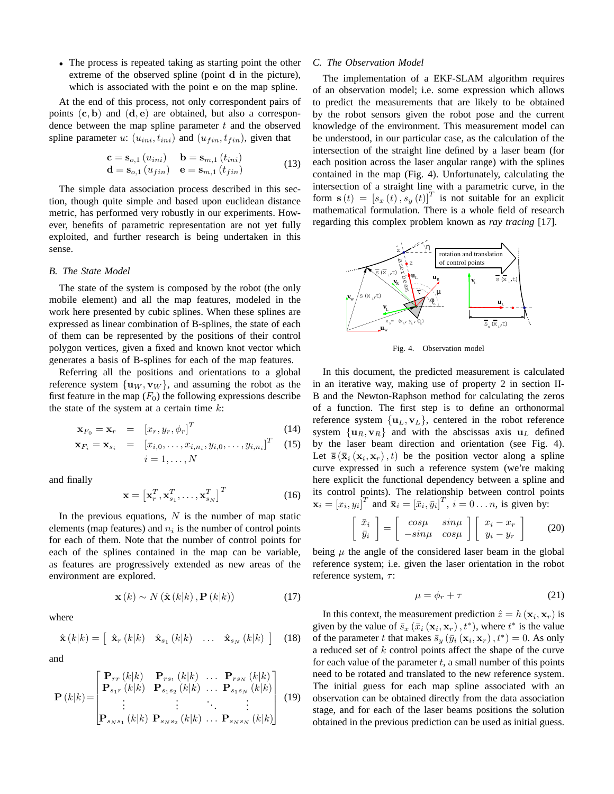• The process is repeated taking as starting point the other extreme of the observed spline (point d in the picture), which is associated with the point e on the map spline.

At the end of this process, not only correspondent pairs of points  $(c, b)$  and  $(d, e)$  are obtained, but also a correspondence between the map spline parameter  $t$  and the observed spline parameter u:  $(u_{ini}, t_{ini})$  and  $(u_{fin}, t_{fin})$ , given that

$$
\mathbf{c} = \mathbf{s}_{o,1} (u_{ini}) \qquad \mathbf{b} = \mathbf{s}_{m,1} (t_{ini}) \n\mathbf{d} = \mathbf{s}_{o,1} (u_{fin}) \qquad \mathbf{e} = \mathbf{s}_{m,1} (t_{fin})
$$
\n(13)

The simple data association process described in this section, though quite simple and based upon euclidean distance metric, has performed very robustly in our experiments. However, benefits of parametric representation are not yet fully exploited, and further research is being undertaken in this sense.

## *B. The State Model*

The state of the system is composed by the robot (the only mobile element) and all the map features, modeled in the work here presented by cubic splines. When these splines are expressed as linear combination of B-splines, the state of each of them can be represented by the positions of their control polygon vertices, given a fixed and known knot vector which generates a basis of B-splines for each of the map features.

Referring all the positions and orientations to a global reference system  $\{u_W, v_W\}$ , and assuming the robot as the first feature in the map  $(F_0)$  the following expressions describe the state of the system at a certain time  $k$ :

$$
\mathbf{x}_{F_0} = \mathbf{x}_r = \begin{bmatrix} x_r, y_r, \phi_r \end{bmatrix}^T \tag{14}
$$

$$
\mathbf{x}_{F_i} = \mathbf{x}_{s_i} = [x_{i,0}, \dots, x_{i,n_i}, y_{i,0}, \dots, y_{i,n_i}]^T
$$
 (15)  

$$
i = 1, \dots, N
$$

and finally

$$
\mathbf{x} = \left[ \mathbf{x}_r^T, \mathbf{x}_{s_1}^T, \dots, \mathbf{x}_{s_N}^T \right]^T
$$
 (16)

In the previous equations,  $N$  is the number of map static elements (map features) and  $n_i$  is the number of control points for each of them. Note that the number of control points for each of the splines contained in the map can be variable, as features are progressively extended as new areas of the environment are explored.

$$
\mathbf{x}(k) \sim N\left(\hat{\mathbf{x}}(k|k), \mathbf{P}(k|k)\right) \tag{17}
$$

where

$$
\hat{\mathbf{x}}(k|k) = \left[ \begin{array}{cccc} \hat{\mathbf{x}}_r(k|k) & \hat{\mathbf{x}}_{s_1}(k|k) & \dots & \hat{\mathbf{x}}_{s_N}(k|k) \end{array} \right] \quad (18)
$$

and

$$
\mathbf{P}(k|k) = \begin{bmatrix} \mathbf{P}_{rr}(k|k) & \mathbf{P}_{rs_1}(k|k) & \dots & \mathbf{P}_{rs_N}(k|k) \\ \mathbf{P}_{s_1r}(k|k) & \mathbf{P}_{s_1s_2}(k|k) & \dots & \mathbf{P}_{s_1s_N}(k|k) \\ \vdots & \vdots & \ddots & \vdots \\ \mathbf{P}_{s_Ns_1}(k|k) & \mathbf{P}_{s_Ns_2}(k|k) & \dots & \mathbf{P}_{s_Ns_N}(k|k) \end{bmatrix}
$$
(19)

#### *C. The Observation Model*

The implementation of a EKF-SLAM algorithm requires of an observation model; i.e. some expression which allows to predict the measurements that are likely to be obtained by the robot sensors given the robot pose and the current knowledge of the environment. This measurement model can be understood, in our particular case, as the calculation of the intersection of the straight line defined by a laser beam (for each position across the laser angular range) with the splines contained in the map (Fig. 4). Unfortunately, calculating the intersection of a straight line with a parametric curve, in the form  $\mathbf{s}(t) = [s_x(t), s_y(t)]^T$  is not suitable for an explicit mathematical formulation. There is a whole field of research regarding this complex problem known as *ray tracing* [17].



Fig. 4. Observation model

In this document, the predicted measurement is calculated in an iterative way, making use of property 2 in section II-B and the Newton-Raphson method for calculating the zeros of a function. The first step is to define an orthonormal reference system  $\{u_L, v_L\}$ , centered in the robot reference system  $\{u_R, v_R\}$  and with the abscissas axis  $u_L$  defined by the laser beam direction and orientation (see Fig. 4). Let  $\bar{\mathbf{s}}(\bar{\mathbf{x}}_i(\mathbf{x}_i, \mathbf{x}_r), t)$  be the position vector along a spline curve expressed in such a reference system (we're making here explicit the functional dependency between a spline and its control points). The relationship between control points  $\mathbf{x}_i = [x_i, y_i]^T$  and  $\bar{\mathbf{x}}_i = [\bar{x}_i, \bar{y}_i]^T$ ,  $i = 0 \dots n$ , is given by:

$$
\begin{bmatrix} \bar{x}_i \\ \bar{y}_i \end{bmatrix} = \begin{bmatrix} cos\mu & sin\mu \\ -sin\mu & cos\mu \end{bmatrix} \begin{bmatrix} x_i - x_r \\ y_i - y_r \end{bmatrix}
$$
 (20)

being  $\mu$  the angle of the considered laser beam in the global reference system; i.e. given the laser orientation in the robot reference system,  $\tau$ :

$$
\mu = \phi_r + \tau \tag{21}
$$

In this context, the measurement prediction  $\hat{z} = h(\mathbf{x}_i, \mathbf{x}_r)$  is given by the value of  $\bar{s}_x(\bar{x}_i(\mathbf{x}_i, \mathbf{x}_r), t^*)$ , where  $t^*$  is the value of the parameter t that makes  $\bar{s}_y(\bar{y}_i(\mathbf{x}_i, \mathbf{x}_r), t^*) = 0$ . As only a reduced set of k control points affect the shape of the curve for each value of the parameter  $t$ , a small number of this points need to be rotated and translated to the new reference system. The initial guess for each map spline associated with an observation can be obtained directly from the data association stage, and for each of the laser beams positions the solution obtained in the previous prediction can be used as initial guess.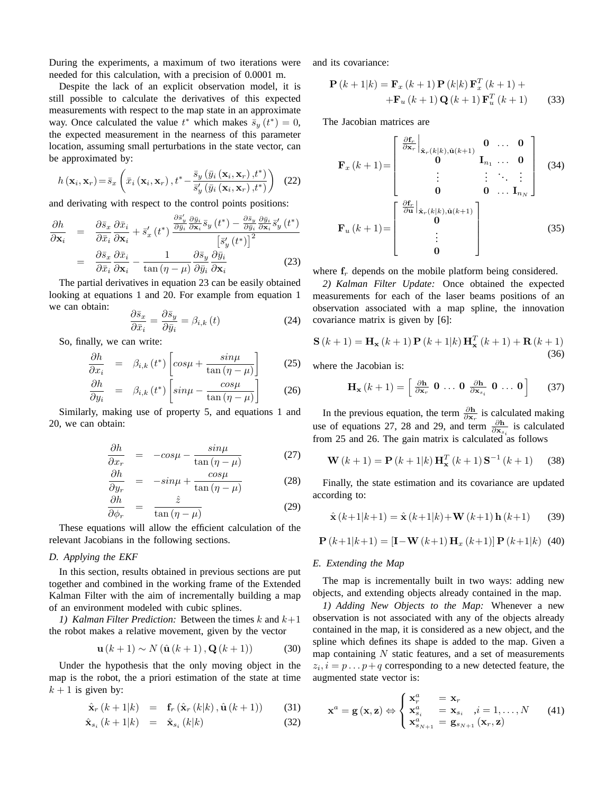During the experiments, a maximum of two iterations were needed for this calculation, with a precision of 0.0001 m.

Despite the lack of an explicit observation model, it is still possible to calculate the derivatives of this expected measurements with respect to the map state in an approximate way. Once calculated the value  $t^*$  which makes  $\bar{s}_y(t^*) = 0$ , the expected measurement in the nearness of this parameter location, assuming small perturbations in the state vector, can be approximated by:

$$
h\left(\mathbf{x}_{i}, \mathbf{x}_{r}\right) = \bar{s}_{x}\left(\bar{x}_{i}\left(\mathbf{x}_{i}, \mathbf{x}_{r}\right), t^{*} - \frac{\bar{s}_{y}\left(\bar{y}_{i}\left(\mathbf{x}_{i}, \mathbf{x}_{r}\right), t^{*}\right)}{\bar{s}_{y}'\left(\bar{y}_{i}\left(\mathbf{x}_{i}, \mathbf{x}_{r}\right), t^{*}\right)}\right) \tag{22}
$$

and derivating with respect to the control points positions:

$$
\frac{\partial h}{\partial \mathbf{x}_{i}} = \frac{\partial \bar{s}_{x}}{\partial \bar{x}_{i}} \frac{\partial \bar{x}_{i}}{\partial \mathbf{x}_{i}} + \bar{s}'_{x} \left(t^{*}\right) \frac{\partial \bar{s}'_{y}}{\partial y_{i}} \frac{\partial \bar{y}_{i}}{\partial \mathbf{x}_{i}} \bar{s}_{y} \left(t^{*}\right) - \frac{\partial \bar{s}_{y}}{\partial y_{i}} \frac{\partial \bar{y}_{i}}{\partial \mathbf{x}_{i}} \bar{s}'_{y} \left(t^{*}\right) \\
= \frac{\partial \bar{s}_{x}}{\partial \bar{x}_{i}} \frac{\partial \bar{x}_{i}}{\partial \mathbf{x}_{i}} - \frac{1}{\tan\left(\eta - \mu\right)} \frac{\partial \bar{s}_{y}}{\partial \bar{y}_{i}} \frac{\partial \bar{y}_{i}}{\partial \mathbf{x}_{i}} \tag{23}
$$

The partial derivatives in equation 23 can be easily obtained looking at equations 1 and 20. For example from equation 1 we can obtain:

$$
\frac{\partial \bar{s}_x}{\partial \bar{x}_i} = \frac{\partial \bar{s}_y}{\partial \bar{y}_i} = \beta_{i,k} \left( t \right)
$$
\n(24)

So, finally, we can write:

$$
\frac{\partial h}{\partial x_i} = \beta_{i,k} (t^*) \left[ \cos \mu + \frac{\sin \mu}{\tan (\eta - \mu)} \right] \tag{25}
$$

$$
\frac{\partial h}{\partial y_i} = \beta_{i,k} (t^*) \left[ \sin \mu - \frac{\cos \mu}{\tan (\eta - \mu)} \right] \tag{26}
$$

Similarly, making use of property 5, and equations 1 and 20, we can obtain:

$$
\frac{\partial h}{\partial x_r} = -\cos\mu - \frac{\sin\mu}{\tan\left(\eta - \mu\right)}\tag{27}
$$

$$
\frac{\partial h}{\partial y_r} = -\sin\mu + \frac{\cos\mu}{\tan\left(\eta - \mu\right)}\tag{28}
$$

$$
\frac{\partial h}{\partial \phi_r} = \frac{\hat{z}}{\tan(\eta - \mu)} \tag{29}
$$

These equations will allow the efficient calculation of the relevant Jacobians in the following sections.

## *D. Applying the EKF*

In this section, results obtained in previous sections are put together and combined in the working frame of the Extended Kalman Filter with the aim of incrementally building a map of an environment modeled with cubic splines.

*1)* Kalman Filter Prediction: Between the times  $k$  and  $k+1$ the robot makes a relative movement, given by the vector

$$
\mathbf{u}(k+1) \sim N\left(\hat{\mathbf{u}}(k+1), \mathbf{Q}(k+1)\right) \tag{30}
$$

Under the hypothesis that the only moving object in the map is the robot, the a priori estimation of the state at time  $k + 1$  is given by:

$$
\hat{\mathbf{x}}_r(k+1|k) = \mathbf{f}_r(\hat{\mathbf{x}}_r(k|k), \hat{\mathbf{u}}(k+1)) \quad (31)
$$

$$
\hat{\mathbf{x}}_{s_i}(k+1|k) = \hat{\mathbf{x}}_{s_i}(k|k) \tag{32}
$$

and its covariance:

$$
\mathbf{P}(k+1|k) = \mathbf{F}_x(k+1)\mathbf{P}(k|k)\mathbf{F}_x^T(k+1) + \n+ \mathbf{F}_u(k+1)\mathbf{Q}(k+1)\mathbf{F}_u^T(k+1)
$$
\n(33)

The Jacobian matrices are

$$
\mathbf{F}_x(k+1) = \begin{bmatrix} \frac{\partial \mathbf{f}_r}{\partial \mathbf{x}_r} \Big|_{\hat{\mathbf{x}}_r(k|k), \hat{\mathbf{u}}(k+1)} & \mathbf{0} & \dots & \mathbf{0} \\ \mathbf{0} & \mathbf{I}_{n_1} & \dots & \mathbf{0} \\ \vdots & \vdots & \ddots & \vdots \\ \mathbf{0} & \mathbf{0} & \dots & \mathbf{I}_{n_N} \end{bmatrix}
$$
(34)  

$$
\mathbf{F}_u(k+1) = \begin{bmatrix} \frac{\partial \mathbf{f}_r}{\partial \mathbf{u}} \Big|_{\hat{\mathbf{x}}_r(k|k), \hat{\mathbf{u}}(k+1)} \\ \mathbf{0} & \vdots \\ \mathbf{0} & \end{bmatrix}
$$
(35)

where  $f_r$  depends on the mobile platform being considered.

*2) Kalman Filter Update:* Once obtained the expected measurements for each of the laser beams positions of an observation associated with a map spline, the innovation covariance matrix is given by [6]:

$$
\mathbf{S}(k+1) = \mathbf{H}_{\mathbf{x}}(k+1)\mathbf{P}(k+1|k)\mathbf{H}_{\mathbf{x}}^{T}(k+1) + \mathbf{R}(k+1)
$$
\n(36)

where the Jacobian is:

$$
\mathbf{H}_{\mathbf{x}}\left(k+1\right)=\left[\begin{array}{cc}\frac{\partial \mathbf{h}}{\partial \mathbf{x}_{r}} & \mathbf{0} & \dots & \mathbf{0} & \frac{\partial \mathbf{h}}{\partial \mathbf{x}_{s_{i}}} & \mathbf{0} & \dots & \mathbf{0}\end{array}\right] \tag{37}
$$

In the previous equation, the term  $\frac{\partial \mathbf{h}}{\partial \mathbf{x}_r}$  is calculated making use of equations 27, 28 and 29, and term  $\frac{\partial \mathbf{h}}{\partial \mathbf{x}_{s_i}}$  is calculated from 25 and 26. The gain matrix is calculated as follows

$$
\mathbf{W}(k+1) = \mathbf{P}(k+1|k)\mathbf{H}_{\mathbf{x}}^{T}(k+1)\mathbf{S}^{-1}(k+1)
$$
 (38)

Finally, the state estimation and its covariance are updated according to:

$$
\hat{\mathbf{x}}(k+1|k+1) = \hat{\mathbf{x}}(k+1|k) + \mathbf{W}(k+1)\mathbf{h}(k+1)
$$
 (39)

$$
\mathbf{P}(k+1|k+1) = \left[\mathbf{I} - \mathbf{W}(k+1) \, \mathbf{H}_x(k+1)\right] \mathbf{P}(k+1|k) \tag{40}
$$

#### *E. Extending the Map*

The map is incrementally built in two ways: adding new objects, and extending objects already contained in the map.

*1) Adding New Objects to the Map:* Whenever a new observation is not associated with any of the objects already contained in the map, it is considered as a new object, and the spline which defines its shape is added to the map. Given a map containing  $N$  static features, and a set of measurements  $z_i$ ,  $i = p \dots p + q$  corresponding to a new detected feature, the augmented state vector is:

$$
\mathbf{x}^{a} = \mathbf{g}(\mathbf{x}, \mathbf{z}) \Leftrightarrow \begin{cases} \mathbf{x}_{r}^{a} = \mathbf{x}_{r} \\ \mathbf{x}_{s}^{a} = \mathbf{x}_{s_{i}} \quad i = 1, \dots, N \\ \mathbf{x}_{s_{N+1}}^{a} = \mathbf{g}_{s_{N+1}}(\mathbf{x}_{r}, \mathbf{z}) \end{cases}
$$
(41)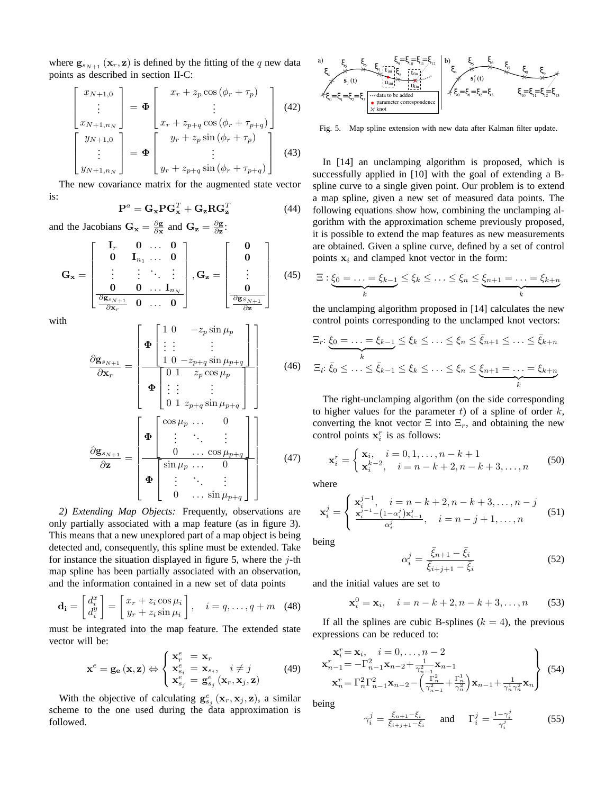where  $\mathbf{g}_{s_{N+1}}(\mathbf{x}_r, \mathbf{z})$  is defined by the fitting of the q new data points as described in section II-C:

$$
\begin{bmatrix}\nx_{N+1,0} \\
\vdots \\
x_{N+1,n_N}\n\end{bmatrix} = \Phi \begin{bmatrix}\nx_r + z_p \cos(\phi_r + \tau_p) \\
\vdots \\
x_r + z_{p+q} \cos(\phi_r + \tau_{p+q})\n\end{bmatrix}
$$
\n(42)\n
$$
\begin{bmatrix}\ny_{N+1,0} \\
\vdots \\
y_{N+1,n_N}\n\end{bmatrix} = \Phi \begin{bmatrix}\ny_r + z_p \sin(\phi_r + \tau_p) \\
\vdots \\
y_r + z_{p+q} \sin(\phi_r + \tau_{p+q})\n\end{bmatrix}
$$
\n(43)

The new covariance matrix for the augmented state vector is:

$$
\mathbf{P}^a = \mathbf{G_x} \mathbf{P} \mathbf{G_x}^T + \mathbf{G_z} \mathbf{R} \mathbf{G_z}^T
$$
 (44)

and the Jacobians  $G_x = \frac{\partial g}{\partial x}$  and  $G_z = \frac{\partial g}{\partial z}$ :

$$
\mathbf{G}_{\mathbf{x}} = \begin{bmatrix} \mathbf{I}_r & \mathbf{0} & \dots & \mathbf{0} \\ \mathbf{0} & \mathbf{I}_{n_1} & \dots & \mathbf{0} \\ \vdots & \vdots & \ddots & \vdots \\ \mathbf{0} & \mathbf{0} & \dots & \mathbf{I}_{n_N} \\ \frac{\partial \mathbf{g}_{s_{N+1}}}{\partial \mathbf{x}_r} & \mathbf{0} & \dots & \mathbf{0} \end{bmatrix}, \mathbf{G}_{\mathbf{z}} = \begin{bmatrix} \mathbf{0} \\ \mathbf{0} \\ \vdots \\ \frac{\partial \mathbf{g}_{s_{N+1}}}{\partial \mathbf{z}} \end{bmatrix}
$$
(45)

with

$$
\frac{\partial \mathbf{g}_{s_{N+1}}}{\partial \mathbf{x}_{r}} = \begin{bmatrix} \mathbf{\Phi} \begin{bmatrix} 1 & 0 & -z_{p} \sin \mu_{p} \\ \vdots & \vdots & & \vdots \\ 1 & 0 & -z_{p+q} \sin \mu_{p+q} \end{bmatrix} \\ \hline \mathbf{\Phi} \begin{bmatrix} 0 & 1 & z_{p} \cos \mu_{p} \\ \vdots & \vdots & & \vdots \\ 0 & 1 & z_{p+q} \sin \mu_{p+q} \end{bmatrix} \end{bmatrix}
$$
\n
$$
\frac{\partial \mathbf{g}_{s_{N+1}}}{\partial \mathbf{z}} = \begin{bmatrix} \mathbf{\Phi} \begin{bmatrix} \cos \mu_{p} & \cdots & 0 \\ \vdots & \ddots & & \vdots \\ 0 & \cdots & \cos \mu_{p+q} \end{bmatrix} \\ \hline \mathbf{\Phi} \begin{bmatrix} \sin \mu_{p} & \cdots & 0 \\ \vdots & \ddots & & \vdots \\ 0 & \cdots & \sin \mu_{p+q} \end{bmatrix} \end{bmatrix}
$$
\n(47)

*2) Extending Map Objects:* Frequently, observations are only partially associated with a map feature (as in figure 3). This means that a new unexplored part of a map object is being detected and, consequently, this spline must be extended. Take for instance the situation displayed in figure 5, where the  $j$ -th map spline has been partially associated with an observation, and the information contained in a new set of data points

$$
\mathbf{d_i} = \begin{bmatrix} d_i^x \\ d_i^y \end{bmatrix} = \begin{bmatrix} x_r + z_i \cos \mu_i \\ y_r + z_i \sin \mu_i \end{bmatrix}, \quad i = q, \dots, q + m \quad (48)
$$

must be integrated into the map feature. The extended state vector will be:

$$
\mathbf{x}^e = \mathbf{g_e}(\mathbf{x}, \mathbf{z}) \Leftrightarrow \begin{cases} \mathbf{x}_r^e = \mathbf{x}_r \\ \mathbf{x}_{s_i}^e = \mathbf{x}_{s_i}, \quad i \neq j \\ \mathbf{x}_{s_j}^e = \mathbf{g}_{s_j}^e(\mathbf{x}_r, \mathbf{x}_j, \mathbf{z}) \end{cases}
$$
(49)

With the objective of calculating  $\mathbf{g}_{s_j}^e(\mathbf{x}_r, \mathbf{x}_j, \mathbf{z})$ , a similar scheme to the one used during the data approximation is followed.



Fig. 5. Map spline extension with new data after Kalman filter update.

In [14] an unclamping algorithm is proposed, which is successfully applied in [10] with the goal of extending a Bspline curve to a single given point. Our problem is to extend a map spline, given a new set of measured data points. The following equations show how, combining the unclamping algorithm with the approximation scheme previously proposed, it is possible to extend the map features as new measurements are obtained. Given a spline curve, defined by a set of control points  $x_i$  and clamped knot vector in the form:

$$
\Xi: \underbrace{\xi_0 = \ldots = \xi_{k-1}}_k \leq \xi_k \leq \ldots \leq \xi_n \leq \underbrace{\xi_{n+1} = \ldots = \xi_{k+n}}_k
$$

the unclamping algorithm proposed in [14] calculates the new control points corresponding to the unclamped knot vectors:

$$
\Xi_r: \underbrace{\xi_0 = \ldots = \xi_{k-1}}_{k} \leq \xi_k \leq \ldots \leq \xi_n \leq \bar{\xi}_{n+1} \leq \ldots \leq \bar{\xi}_{k+n}
$$
\n
$$
\Xi_l: \overline{\xi_0} \leq \ldots \leq \overline{\xi}_{k-1} \leq \xi_k \leq \ldots \leq \xi_n \leq \underbrace{\xi_{n+1} = \ldots = \xi_{k+n}}_{k}
$$

The right-unclamping algorithm (on the side corresponding to higher values for the parameter  $t$ ) of a spline of order  $k$ , converting the knot vector  $\Xi$  into  $\Xi_r$ , and obtaining the new control points  $x_i^r$  is as follows:

$$
\mathbf{x}_i^r = \begin{cases} \mathbf{x}_i, & i = 0, 1, \dots, n - k + 1 \\ \mathbf{x}_i^{k-2}, & i = n - k + 2, n - k + 3, \dots, n \end{cases}
$$
(50)

where

$$
\mathbf{x}_{i}^{j} = \begin{cases} \mathbf{x}_{i}^{j-1}, & i = n-k+2, n-k+3, \dots, n-j \\ \frac{\mathbf{x}_{i}^{j-1} - (1-\alpha_{i}^{j})\mathbf{x}_{i-1}^{j}}{\alpha_{i}^{j}}, & i = n-j+1, \dots, n \end{cases}
$$
(51)

being

$$
\alpha_i^j = \frac{\bar{\xi}_{n+1} - \bar{\xi}_i}{\bar{\xi}_{i+j+1} - \bar{\xi}_i}
$$
\n(52)

and the initial values are set to

$$
\mathbf{x}_i^0 = \mathbf{x}_i, \quad i = n - k + 2, n - k + 3, \dots, n \tag{53}
$$

If all the splines are cubic B-splines ( $k = 4$ ), the previous expressions can be reduced to:

$$
\mathbf{x}_{n-1}^r = \mathbf{x}_i, \quad i = 0, \dots, n-2
$$
\n
$$
\mathbf{x}_{n-1}^r = -\Gamma_{n-1}^2 \mathbf{x}_{n-2} + \frac{1}{\gamma_{n-1}^2} \mathbf{x}_{n-1}
$$
\n
$$
\mathbf{x}_n^r = \Gamma_n^2 \Gamma_{n-1}^2 \mathbf{x}_{n-2} - \left(\frac{\Gamma_n^2}{\gamma_{n-1}^2} + \frac{\Gamma_n^1}{\gamma_n^2}\right) \mathbf{x}_{n-1} + \frac{1}{\gamma_n^1 \gamma_n^2} \mathbf{x}_n
$$
\n(54)

being

$$
\gamma_i^j = \frac{\bar{\xi}_{n+1} - \bar{\xi}_i}{\bar{\xi}_{i+j+1} - \bar{\xi}_i} \quad \text{and} \quad \Gamma_i^j = \frac{1 - \gamma_i^j}{\gamma_i^j} \tag{55}
$$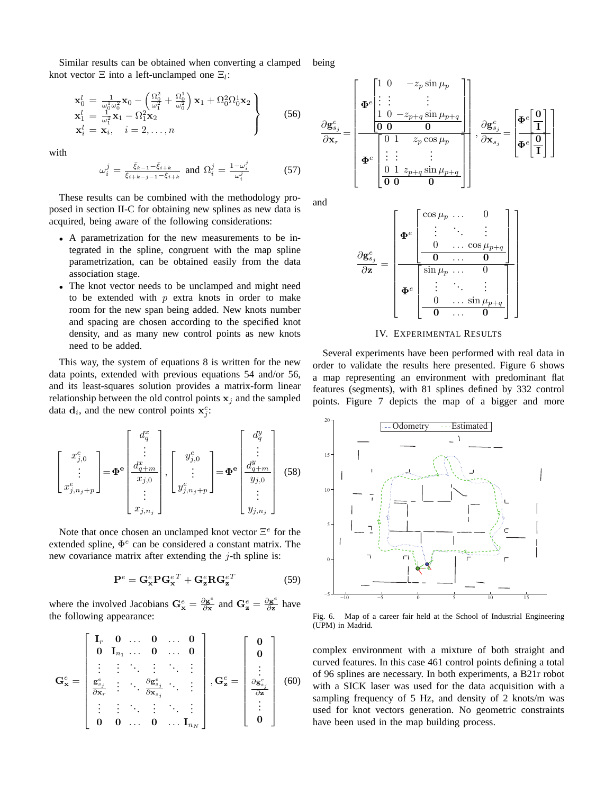Similar results can be obtained when converting a clamped knot vector  $\Xi$  into a left-unclamped one  $\Xi_l$ : being

$$
\mathbf{x}_{0}^{l} = \frac{1}{\omega_{0}^{1} \omega_{0}^{2}} \mathbf{x}_{0} - \left(\frac{\Omega_{0}^{2}}{\omega_{1}^{2}} + \frac{\Omega_{0}^{1}}{\omega_{0}^{2}}\right) \mathbf{x}_{1} + \Omega_{0}^{2} \Omega_{0}^{1} \mathbf{x}_{2} \n\mathbf{x}_{1}^{l} = \frac{1}{\omega_{1}^{2}} \mathbf{x}_{1} - \Omega_{1}^{2} \mathbf{x}_{2} \n\mathbf{x}_{i}^{l} = \mathbf{x}_{i}, \quad i = 2, ..., n
$$
\n(56)

with

$$
\omega_i^j = \frac{\bar{\xi}_{k-1} - \bar{\xi}_{i+k}}{\bar{\xi}_{i+k-j-1} - \bar{\xi}_{i+k}} \text{ and } \Omega_i^j = \frac{1 - \omega_i^j}{\omega_i^j} \tag{57}
$$

These results can be combined with the methodology proposed in section II-C for obtaining new splines as new data is acquired, being aware of the following considerations:

- A parametrization for the new measurements to be integrated in the spline, congruent with the map spline parametrization, can be obtained easily from the data association stage.
- The knot vector needs to be unclamped and might need to be extended with  $p$  extra knots in order to make room for the new span being added. New knots number and spacing are chosen according to the specified knot density, and as many new control points as new knots need to be added.

This way, the system of equations 8 is written for the new data points, extended with previous equations 54 and/or 56, and its least-squares solution provides a matrix-form linear relationship between the old control points  $x_i$  and the sampled data  $\mathbf{d}_i$ , and the new control points  $\mathbf{x}_j^e$ .

$$
\begin{bmatrix} x_{j,0}^{e} \\ \vdots \\ x_{j,n_j+p}^{e} \end{bmatrix} = \boldsymbol{\Phi}^{\mathbf{e}} \begin{bmatrix} d_q^x \\ \vdots \\ d_{q+m}^x \\ \hline x_{j,0} \\ \vdots \\ x_{j,n_j} \end{bmatrix}, \begin{bmatrix} y_{j,0}^{e} \\ \vdots \\ y_{j,n_j+p}^{e} \end{bmatrix} = \boldsymbol{\Phi}^{\mathbf{e}} \begin{bmatrix} d_q^y \\ \vdots \\ d_{q+m}^y \\ \hline y_{j,0} \\ \vdots \\ y_{j,n_j} \end{bmatrix}
$$
(58)

Note that once chosen an unclamped knot vector  $\Xi^e$  for the extended spline,  $\Phi^e$  can be considered a constant matrix. The new covariance matrix after extending the  $j$ -th spline is:

$$
\mathbf{P}^e = \mathbf{G}_{\mathbf{x}}^e \mathbf{P} \mathbf{G}_{\mathbf{x}}^{e\,T} + \mathbf{G}_{\mathbf{z}}^e \mathbf{R} \mathbf{G}_{\mathbf{z}}^{e\,T} \tag{59}
$$

where the involved Jacobians  $G_{x}^{e} = \frac{\partial g^{e}}{\partial x}$  $\frac{\partial \mathbf{g}^e}{\partial \mathbf{x}}$  and  $\mathbf{G}_{\mathbf{z}}^e = \frac{\partial \mathbf{g}^e}{\partial \mathbf{z}}$  $\frac{\partial g^{\circ}}{\partial z}$  have the following appearance:

$$
\mathbf{G}_{\mathbf{x}}^{e} = \begin{bmatrix} \mathbf{I}_{r} & \mathbf{0} & \dots & \mathbf{0} & \dots & \mathbf{0} \\ \mathbf{0} & \mathbf{I}_{n_{1}} & \dots & \mathbf{0} & \dots & \mathbf{0} \\ \vdots & \vdots & \ddots & \vdots & \ddots & \vdots \\ \frac{\mathbf{g}_{s_{j}}^{e}}{\partial \mathbf{x}_{r}} & \vdots & \ddots & \frac{\partial \mathbf{g}_{s_{j}}^{e}}{\partial \mathbf{x}_{s_{j}}} & \ddots & \vdots \\ \vdots & \vdots & \ddots & \vdots & \ddots & \vdots \\ \mathbf{0} & \mathbf{0} & \dots & \mathbf{0} & \dots & \mathbf{I}_{n_{N}} \end{bmatrix}, \mathbf{G}_{\mathbf{z}}^{e} = \begin{bmatrix} \mathbf{0} \\ \mathbf{0} \\ \vdots \\ \frac{\partial \mathbf{g}_{s_{j}}^{e}}{\partial \mathbf{z}} \\ \vdots \\ \mathbf{0} \end{bmatrix} (60)
$$

and

 $\partial \mathbf{g}^e_{s_j}$ 

 $\sqrt{ }$  $\overline{1}$ 

 $\Phi^e\Bigg\vert$ 

 $\sqrt{ }$ 

1 0  $-z_p \sin \mu_p$  $: \cdot \cdot \cdot :$ 

J.

1

∂g e  $s_j$   $\sqrt{ }$ 

 $\pmb{\Phi}^e$  $\int$ 0 I 1

Τ

1  $\cdot$  $\perp$  $\overline{1}$ 

1 0  $-z_{p+q} \sin \mu_{p+q}$ 0 0 0



IV. EXPERIMENTAL RESULTS

Several experiments have been performed with real data in order to validate the results here presented. Figure 6 shows a map representing an environment with predominant flat features (segments), with 81 splines defined by 332 control points. Figure 7 depicts the map of a bigger and more



Fig. 6. Map of a career fair held at the School of Industrial Engineering (UPM) in Madrid.

complex environment with a mixture of both straight and curved features. In this case 461 control points defining a total of 96 splines are necessary. In both experiments, a B21r robot with a SICK laser was used for the data acquisition with a sampling frequency of 5 Hz, and density of 2 knots/m was used for knot vectors generation. No geometric constraints have been used in the map building process.